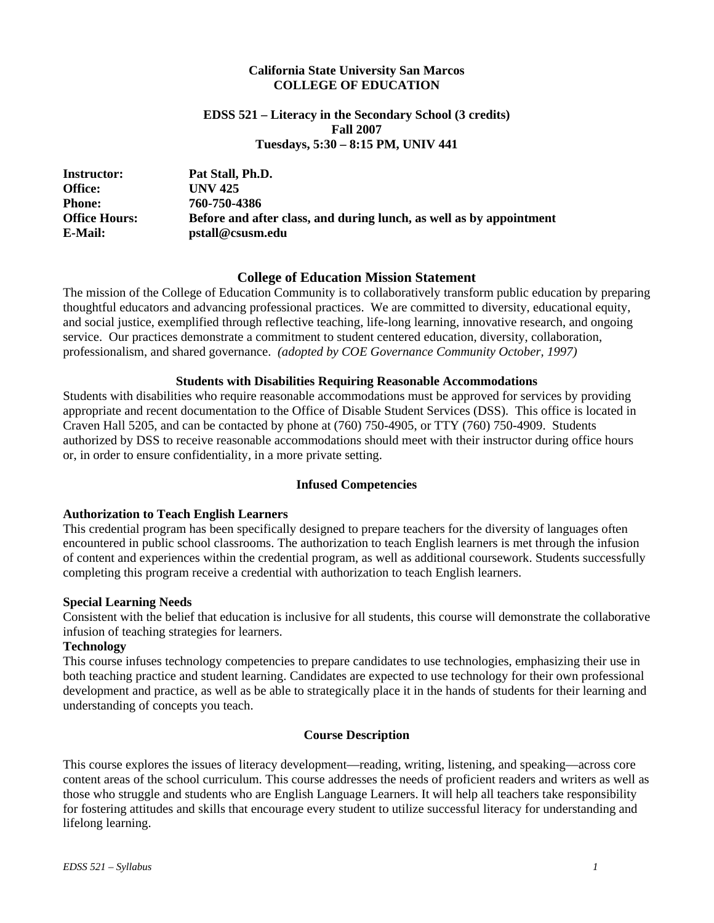#### **California State University San Marcos COLLEGE OF EDUCATION**

#### **EDSS 521 – Literacy in the Secondary School (3 credits) Fall 2007 Tuesdays, 5:30 – 8:15 PM, UNIV 441**

| <b>Instructor:</b>   | Pat Stall, Ph.D.                                                    |
|----------------------|---------------------------------------------------------------------|
| <b>Office:</b>       | <b>UNV 425</b>                                                      |
| <b>Phone:</b>        | 760-750-4386                                                        |
| <b>Office Hours:</b> | Before and after class, and during lunch, as well as by appointment |
| E-Mail:              | pstall@csusm.edu                                                    |

#### **College of Education Mission Statement**

The mission of the College of Education Community is to collaboratively transform public education by preparing thoughtful educators and advancing professional practices. We are committed to diversity, educational equity, and social justice, exemplified through reflective teaching, life-long learning, innovative research, and ongoing service. Our practices demonstrate a commitment to student centered education, diversity, collaboration, professionalism, and shared governance. *(adopted by COE Governance Community October, 1997)*

#### **Students with Disabilities Requiring Reasonable Accommodations**

Students with disabilities who require reasonable accommodations must be approved for services by providing appropriate and recent documentation to the Office of Disable Student Services (DSS). This office is located in Craven Hall 5205, and can be contacted by phone at (760) 750-4905, or TTY (760) 750-4909. Students authorized by DSS to receive reasonable accommodations should meet with their instructor during office hours or, in order to ensure confidentiality, in a more private setting.

#### **Infused Competencies**

#### **Authorization to Teach English Learners**

This credential program has been specifically designed to prepare teachers for the diversity of languages often encountered in public school classrooms. The authorization to teach English learners is met through the infusion of content and experiences within the credential program, as well as additional coursework. Students successfully completing this program receive a credential with authorization to teach English learners.

#### **Special Learning Needs**

Consistent with the belief that education is inclusive for all students, this course will demonstrate the collaborative infusion of teaching strategies for learners.

#### **Technology**

This course infuses technology competencies to prepare candidates to use technologies, emphasizing their use in both teaching practice and student learning. Candidates are expected to use technology for their own professional development and practice, as well as be able to strategically place it in the hands of students for their learning and understanding of concepts you teach.

#### **Course Description**

This course explores the issues of literacy development—reading, writing, listening, and speaking—across core content areas of the school curriculum. This course addresses the needs of proficient readers and writers as well as those who struggle and students who are English Language Learners. It will help all teachers take responsibility for fostering attitudes and skills that encourage every student to utilize successful literacy for understanding and lifelong learning.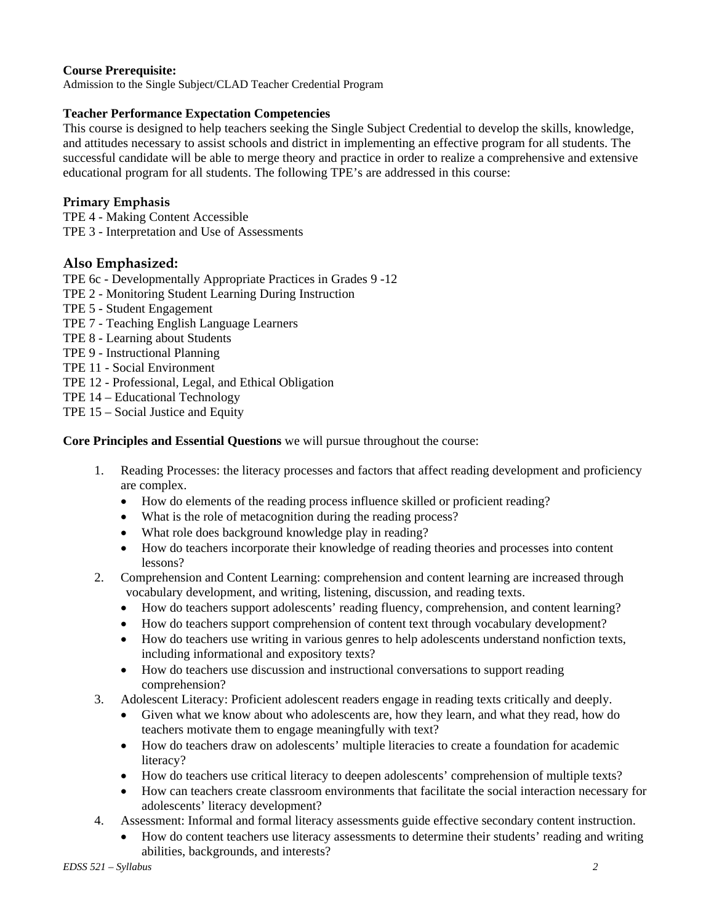## **Course Prerequisite:**

Admission to the Single Subject/CLAD Teacher Credential Program

### **Teacher Performance Expectation Competencies**

This course is designed to help teachers seeking the Single Subject Credential to develop the skills, knowledge, and attitudes necessary to assist schools and district in implementing an effective program for all students. The successful candidate will be able to merge theory and practice in order to realize a comprehensive and extensive educational program for all students. The following TPE's are addressed in this course:

### **Primary Emphasis**

TPE 4 - Making Content Accessible TPE 3 - Interpretation and Use of Assessments

## **Also Emphasized:**

TPE 6c - Developmentally Appropriate Practices in Grades 9 -12

- TPE 2 Monitoring Student Learning During Instruction
- TPE 5 Student Engagement
- TPE 7 Teaching English Language Learners
- TPE 8 Learning about Students
- TPE 9 Instructional Planning
- TPE 11 Social Environment
- TPE 12 Professional, Legal, and Ethical Obligation
- TPE 14 Educational Technology
- TPE 15 Social Justice and Equity

**Core Principles and Essential Questions** we will pursue throughout the course:

- 1. Reading Processes: the literacy processes and factors that affect reading development and proficiency are complex.
	- How do elements of the reading process influence skilled or proficient reading?
	- What is the role of metacognition during the reading process?
	- What role does background knowledge play in reading?
	- How do teachers incorporate their knowledge of reading theories and processes into content lessons?
- 2. Comprehension and Content Learning: comprehension and content learning are increased through vocabulary development, and writing, listening, discussion, and reading texts.
	- How do teachers support adolescents' reading fluency, comprehension, and content learning?
	- How do teachers support comprehension of content text through vocabulary development?
	- How do teachers use writing in various genres to help adolescents understand nonfiction texts, including informational and expository texts?
	- How do teachers use discussion and instructional conversations to support reading comprehension?
- 3. Adolescent Literacy: Proficient adolescent readers engage in reading texts critically and deeply.
	- Given what we know about who adolescents are, how they learn, and what they read, how do teachers motivate them to engage meaningfully with text?
	- How do teachers draw on adolescents' multiple literacies to create a foundation for academic literacy?
	- How do teachers use critical literacy to deepen adolescents' comprehension of multiple texts?
	- How can teachers create classroom environments that facilitate the social interaction necessary for adolescents' literacy development?
- 4. Assessment: Informal and formal literacy assessments guide effective secondary content instruction.
	- How do content teachers use literacy assessments to determine their students' reading and writing abilities, backgrounds, and interests?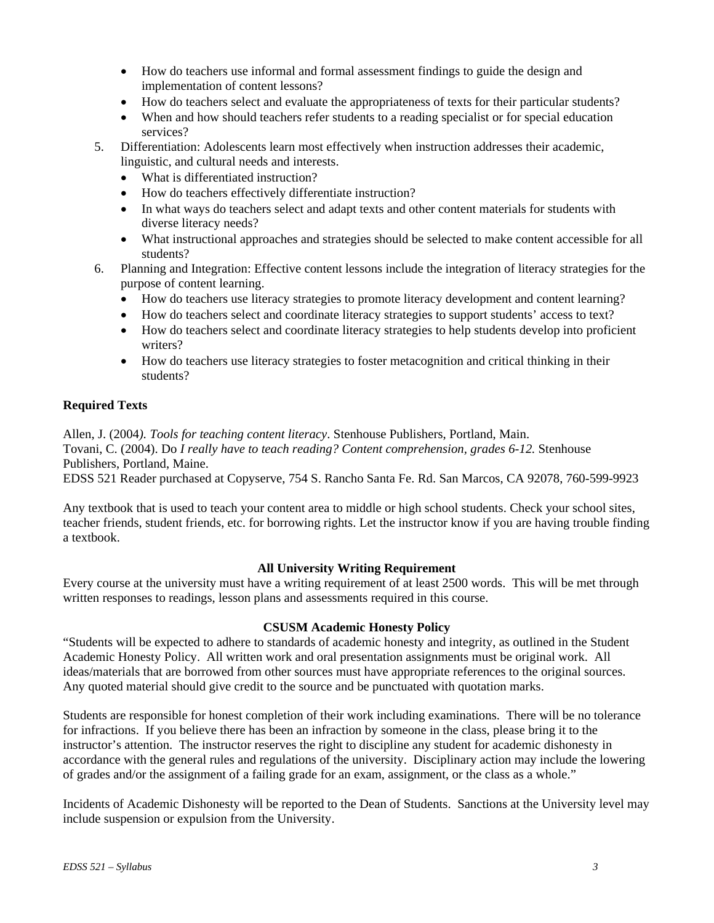- How do teachers use informal and formal assessment findings to guide the design and implementation of content lessons?
- How do teachers select and evaluate the appropriateness of texts for their particular students?
- When and how should teachers refer students to a reading specialist or for special education services?
- 5. Differentiation: Adolescents learn most effectively when instruction addresses their academic, linguistic, and cultural needs and interests.
	- What is differentiated instruction?
	- How do teachers effectively differentiate instruction?
	- In what ways do teachers select and adapt texts and other content materials for students with diverse literacy needs?
	- What instructional approaches and strategies should be selected to make content accessible for all students?
- 6. Planning and Integration: Effective content lessons include the integration of literacy strategies for the purpose of content learning.
	- How do teachers use literacy strategies to promote literacy development and content learning?
	- How do teachers select and coordinate literacy strategies to support students' access to text?
	- How do teachers select and coordinate literacy strategies to help students develop into proficient writers?
	- How do teachers use literacy strategies to foster metacognition and critical thinking in their students?

## **Required Texts**

Allen, J. (2004*). Tools for teaching content literacy*. Stenhouse Publishers, Portland, Main. Tovani, C. (2004). Do *I really have to teach reading? Content comprehension, grades 6-12.* Stenhouse Publishers, Portland, Maine. EDSS 521 Reader purchased at Copyserve, 754 S. Rancho Santa Fe. Rd. San Marcos, CA 92078, 760-599-9923

Any textbook that is used to teach your content area to middle or high school students. Check your school sites, teacher friends, student friends, etc. for borrowing rights. Let the instructor know if you are having trouble finding a textbook.

### **All University Writing Requirement**

Every course at the university must have a writing requirement of at least 2500 words. This will be met through written responses to readings, lesson plans and assessments required in this course.

### **CSUSM Academic Honesty Policy**

"Students will be expected to adhere to standards of academic honesty and integrity, as outlined in the Student Academic Honesty Policy. All written work and oral presentation assignments must be original work. All ideas/materials that are borrowed from other sources must have appropriate references to the original sources. Any quoted material should give credit to the source and be punctuated with quotation marks.

Students are responsible for honest completion of their work including examinations. There will be no tolerance for infractions. If you believe there has been an infraction by someone in the class, please bring it to the instructor's attention. The instructor reserves the right to discipline any student for academic dishonesty in accordance with the general rules and regulations of the university. Disciplinary action may include the lowering of grades and/or the assignment of a failing grade for an exam, assignment, or the class as a whole."

Incidents of Academic Dishonesty will be reported to the Dean of Students. Sanctions at the University level may include suspension or expulsion from the University.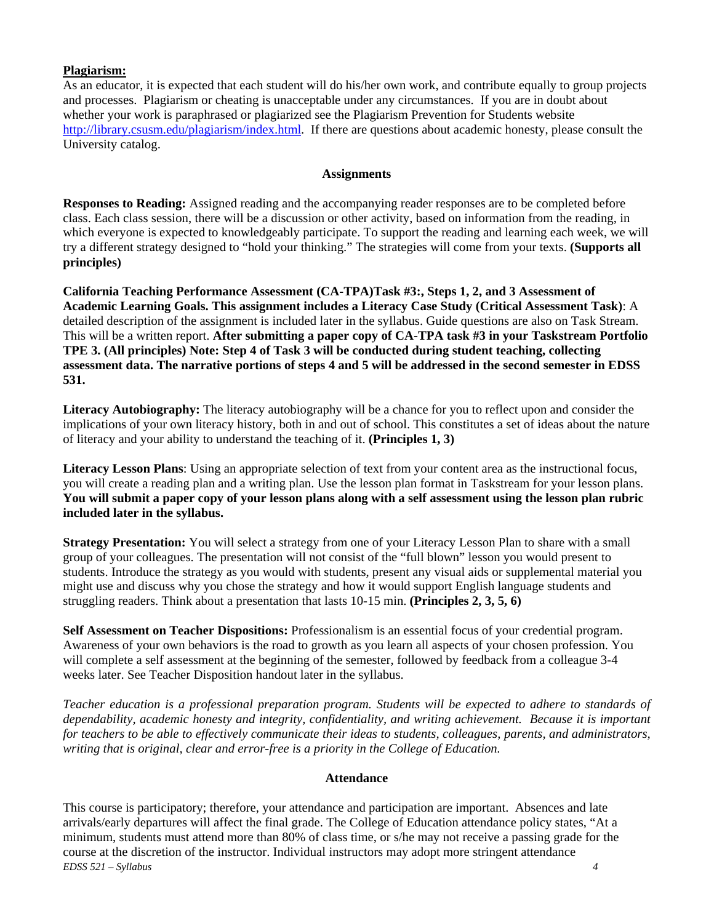## **Plagiarism:**

As an educator, it is expected that each student will do his/her own work, and contribute equally to group projects and processes. Plagiarism or cheating is unacceptable under any circumstances. If you are in doubt about whether your work is paraphrased or plagiarized see the Plagiarism Prevention for Students website http://library.csusm.edu/plagiarism/index.html. If there are questions about academic honesty, please consult the University catalog.

#### **Assignments**

**Responses to Reading:** Assigned reading and the accompanying reader responses are to be completed before class. Each class session, there will be a discussion or other activity, based on information from the reading, in which everyone is expected to knowledgeably participate. To support the reading and learning each week, we will try a different strategy designed to "hold your thinking." The strategies will come from your texts. **(Supports all principles)** 

**California Teaching Performance Assessment (CA-TPA)Task #3:, Steps 1, 2, and 3 Assessment of Academic Learning Goals. This assignment includes a Literacy Case Study (Critical Assessment Task)**: A detailed description of the assignment is included later in the syllabus. Guide questions are also on Task Stream. This will be a written report. **After submitting a paper copy of CA-TPA task #3 in your Taskstream Portfolio TPE 3. (All principles) Note: Step 4 of Task 3 will be conducted during student teaching, collecting assessment data. The narrative portions of steps 4 and 5 will be addressed in the second semester in EDSS 531.**

**Literacy Autobiography:** The literacy autobiography will be a chance for you to reflect upon and consider the implications of your own literacy history, both in and out of school. This constitutes a set of ideas about the nature of literacy and your ability to understand the teaching of it. **(Principles 1, 3)**

**Literacy Lesson Plans**: Using an appropriate selection of text from your content area as the instructional focus, you will create a reading plan and a writing plan. Use the lesson plan format in Taskstream for your lesson plans. **You will submit a paper copy of your lesson plans along with a self assessment using the lesson plan rubric included later in the syllabus.** 

**Strategy Presentation:** You will select a strategy from one of your Literacy Lesson Plan to share with a small group of your colleagues. The presentation will not consist of the "full blown" lesson you would present to students. Introduce the strategy as you would with students, present any visual aids or supplemental material you might use and discuss why you chose the strategy and how it would support English language students and struggling readers. Think about a presentation that lasts 10-15 min. **(Principles 2, 3, 5, 6)** 

**Self Assessment on Teacher Dispositions:** Professionalism is an essential focus of your credential program. Awareness of your own behaviors is the road to growth as you learn all aspects of your chosen profession. You will complete a self assessment at the beginning of the semester, followed by feedback from a colleague 3-4 weeks later. See Teacher Disposition handout later in the syllabus.

*Teacher education is a professional preparation program. Students will be expected to adhere to standards of dependability, academic honesty and integrity, confidentiality, and writing achievement. Because it is important for teachers to be able to effectively communicate their ideas to students, colleagues, parents, and administrators, writing that is original, clear and error-free is a priority in the College of Education.* 

### **Attendance**

*EDSS 521 – Syllabus 4*  This course is participatory; therefore, your attendance and participation are important. Absences and late arrivals/early departures will affect the final grade. The College of Education attendance policy states, "At a minimum, students must attend more than 80% of class time, or s/he may not receive a passing grade for the course at the discretion of the instructor. Individual instructors may adopt more stringent attendance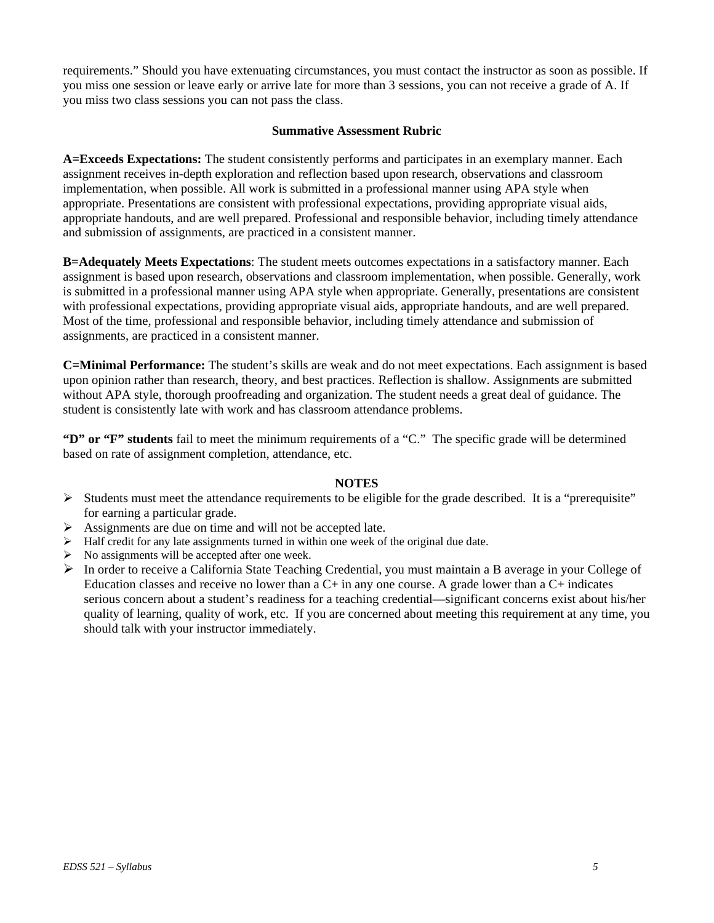requirements." Should you have extenuating circumstances, you must contact the instructor as soon as possible. If you miss one session or leave early or arrive late for more than 3 sessions, you can not receive a grade of A. If you miss two class sessions you can not pass the class.

#### **Summative Assessment Rubric**

**A=Exceeds Expectations:** The student consistently performs and participates in an exemplary manner. Each assignment receives in-depth exploration and reflection based upon research, observations and classroom implementation, when possible. All work is submitted in a professional manner using APA style when appropriate. Presentations are consistent with professional expectations, providing appropriate visual aids, appropriate handouts, and are well prepared. Professional and responsible behavior, including timely attendance and submission of assignments, are practiced in a consistent manner.

**B=Adequately Meets Expectations**: The student meets outcomes expectations in a satisfactory manner. Each assignment is based upon research, observations and classroom implementation, when possible. Generally, work is submitted in a professional manner using APA style when appropriate. Generally, presentations are consistent with professional expectations, providing appropriate visual aids, appropriate handouts, and are well prepared. Most of the time, professional and responsible behavior, including timely attendance and submission of assignments, are practiced in a consistent manner.

**C=Minimal Performance:** The student's skills are weak and do not meet expectations. Each assignment is based upon opinion rather than research, theory, and best practices. Reflection is shallow. Assignments are submitted without APA style, thorough proofreading and organization. The student needs a great deal of guidance. The student is consistently late with work and has classroom attendance problems.

**"D" or "F" students** fail to meet the minimum requirements of a "C." The specific grade will be determined based on rate of assignment completion, attendance, etc.

### **NOTES**

- $\triangleright$  Students must meet the attendance requirements to be eligible for the grade described. It is a "prerequisite" for earning a particular grade.
- $\triangleright$  Assignments are due on time and will not be accepted late.
- $\blacktriangleright$  Half credit for any late assignments turned in within one week of the original due date.
- $\triangleright$  No assignments will be accepted after one week.
- ¾ In order to receive a California State Teaching Credential, you must maintain a B average in your College of Education classes and receive no lower than a  $C+$  in any one course. A grade lower than a  $C+$  indicates serious concern about a student's readiness for a teaching credential—significant concerns exist about his/her quality of learning, quality of work, etc. If you are concerned about meeting this requirement at any time, you should talk with your instructor immediately.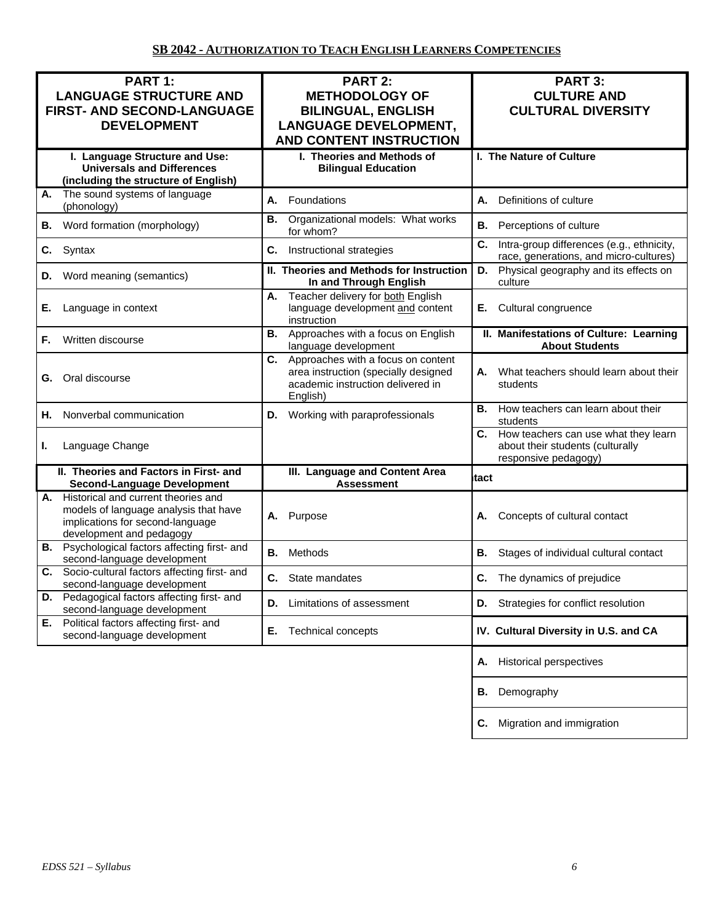| PART 1:<br><b>LANGUAGE STRUCTURE AND</b><br>FIRST- AND SECOND-LANGUAGE<br><b>DEVELOPMENT</b>                                                    | <b>PART 2:</b><br><b>METHODOLOGY OF</b><br><b>BILINGUAL, ENGLISH</b><br><b>LANGUAGE DEVELOPMENT,</b><br><b>AND CONTENT INSTRUCTION</b> | PART 3:<br><b>CULTURE AND</b><br><b>CULTURAL DIVERSITY</b>                                          |  |
|-------------------------------------------------------------------------------------------------------------------------------------------------|----------------------------------------------------------------------------------------------------------------------------------------|-----------------------------------------------------------------------------------------------------|--|
| I. Language Structure and Use:<br><b>Universals and Differences</b><br>(including the structure of English)                                     | I. Theories and Methods of<br><b>Bilingual Education</b>                                                                               | I. The Nature of Culture                                                                            |  |
| The sound systems of language<br>А.<br>(phonology)                                                                                              | А.<br>Foundations                                                                                                                      | А.<br>Definitions of culture                                                                        |  |
| Word formation (morphology)<br>В.                                                                                                               | Organizational models: What works<br>В.<br>for whom?                                                                                   | В.<br>Perceptions of culture                                                                        |  |
| Syntax<br>С.                                                                                                                                    | C.<br>Instructional strategies                                                                                                         | C.<br>Intra-group differences (e.g., ethnicity,<br>race, generations, and micro-cultures)           |  |
| Word meaning (semantics)<br>D.                                                                                                                  | II. Theories and Methods for Instruction<br>In and Through English                                                                     | Physical geography and its effects on<br>D.<br>culture                                              |  |
| Language in context<br>Е.                                                                                                                       | Teacher delivery for both English<br>А.<br>language development and content<br>instruction                                             | Cultural congruence<br>Е.                                                                           |  |
| Written discourse<br>F.                                                                                                                         | Approaches with a focus on English<br>В.<br>language development                                                                       | II. Manifestations of Culture: Learning<br><b>About Students</b>                                    |  |
| Oral discourse<br>G.                                                                                                                            | C.<br>Approaches with a focus on content<br>area instruction (specially designed<br>academic instruction delivered in<br>English)      | What teachers should learn about their<br>А.<br>students                                            |  |
| Nonverbal communication<br>Н.                                                                                                                   | Working with paraprofessionals<br>D.                                                                                                   | How teachers can learn about their<br>В.<br>students                                                |  |
| Language Change<br>ı.                                                                                                                           |                                                                                                                                        | C. How teachers can use what they learn<br>about their students (culturally<br>responsive pedagogy) |  |
| II. Theories and Factors in First- and<br><b>Second-Language Development</b>                                                                    | III. Language and Content Area<br><b>Assessment</b>                                                                                    | tact                                                                                                |  |
| A. Historical and current theories and<br>models of language analysis that have<br>implications for second-language<br>development and pedagogy | Purpose<br>А.                                                                                                                          | Concepts of cultural contact<br>А.                                                                  |  |
| <b>B.</b> Psychological factors affecting first- and<br>second-language development                                                             | Methods<br>В.                                                                                                                          | В.<br>Stages of individual cultural contact                                                         |  |
| Socio-cultural factors affecting first- and<br>C.<br>second-language development                                                                | C.<br>State mandates                                                                                                                   | <b>C.</b> The dynamics of prejudice                                                                 |  |
| Pedagogical factors affecting first- and<br>D.<br>second-language development                                                                   | Limitations of assessment<br>D.                                                                                                        | Strategies for conflict resolution<br>D.                                                            |  |
| Political factors affecting first- and<br>Е.<br>second-language development                                                                     | Е.<br>Technical concepts                                                                                                               | IV. Cultural Diversity in U.S. and CA                                                               |  |
|                                                                                                                                                 |                                                                                                                                        | <b>Historical perspectives</b><br>А.                                                                |  |
|                                                                                                                                                 |                                                                                                                                        | Demography<br>В.                                                                                    |  |
|                                                                                                                                                 |                                                                                                                                        | Migration and immigration<br>С.                                                                     |  |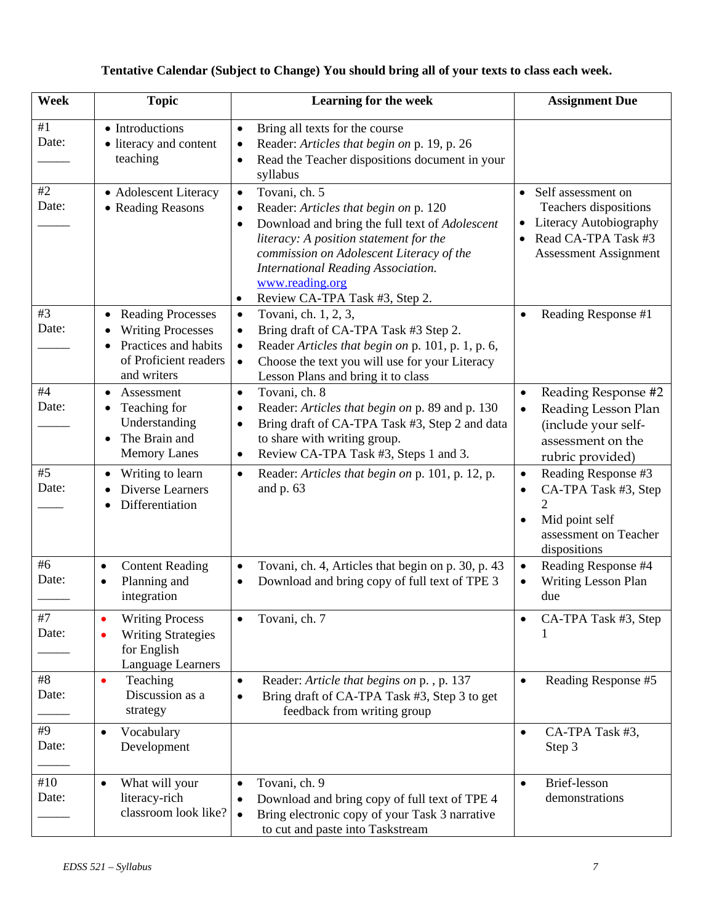# **Tentative Calendar (Subject to Change) You should bring all of your texts to class each week.**

| Week         | <b>Topic</b>                                                                                                                      | Learning for the week                                                                                                                                                                                                                                                                                                                | <b>Assignment Due</b>                                                                                                                         |
|--------------|-----------------------------------------------------------------------------------------------------------------------------------|--------------------------------------------------------------------------------------------------------------------------------------------------------------------------------------------------------------------------------------------------------------------------------------------------------------------------------------|-----------------------------------------------------------------------------------------------------------------------------------------------|
| #1<br>Date:  | • Introductions<br>• literacy and content<br>teaching                                                                             | Bring all texts for the course<br>$\bullet$<br>Reader: Articles that begin on p. 19, p. 26<br>$\bullet$<br>Read the Teacher dispositions document in your<br>$\bullet$<br>syllabus                                                                                                                                                   |                                                                                                                                               |
| #2<br>Date:  | • Adolescent Literacy<br>• Reading Reasons                                                                                        | Tovani, ch. 5<br>$\bullet$<br>Reader: Articles that begin on p. 120<br>$\bullet$<br>Download and bring the full text of Adolescent<br>٠<br>literacy: A position statement for the<br>commission on Adolescent Literacy of the<br><b>International Reading Association.</b><br>www.reading.org<br>Review CA-TPA Task #3, Step 2.<br>٠ | • Self assessment on<br>Teachers dispositions<br>Literacy Autobiography<br>Read CA-TPA Task #3<br><b>Assessment Assignment</b>                |
| #3<br>Date:  | <b>Reading Processes</b><br><b>Writing Processes</b><br>Practices and habits<br>$\bullet$<br>of Proficient readers<br>and writers | Tovani, ch. 1, 2, 3,<br>$\bullet$<br>Bring draft of CA-TPA Task #3 Step 2.<br>$\bullet$<br>Reader Articles that begin on p. 101, p. 1, p. 6,<br>$\bullet$<br>Choose the text you will use for your Literacy<br>$\bullet$<br>Lesson Plans and bring it to class                                                                       | Reading Response #1<br>$\bullet$                                                                                                              |
| #4<br>Date:  | Assessment<br>Teaching for<br>٠<br>Understanding<br>The Brain and<br>$\bullet$<br><b>Memory Lanes</b>                             | Tovani, ch. 8<br>$\bullet$<br>Reader: Articles that begin on p. 89 and p. 130<br>٠<br>Bring draft of CA-TPA Task #3, Step 2 and data<br>$\bullet$<br>to share with writing group.<br>Review CA-TPA Task #3, Steps 1 and 3.<br>$\bullet$                                                                                              | Reading Response #2<br>$\bullet$<br>Reading Lesson Plan<br>$\bullet$<br>(include your self-<br>assessment on the<br>rubric provided)          |
| #5<br>Date:  | Writing to learn<br>$\bullet$<br><b>Diverse Learners</b><br>Differentiation                                                       | Reader: Articles that begin on p. 101, p. 12, p.<br>$\bullet$<br>and $p.63$                                                                                                                                                                                                                                                          | Reading Response #3<br>$\bullet$<br>CA-TPA Task #3, Step<br>$\bullet$<br>Mid point self<br>$\bullet$<br>assessment on Teacher<br>dispositions |
| #6<br>Date:  | <b>Content Reading</b><br>$\bullet$<br>Planning and<br>$\bullet$<br>integration                                                   | Tovani, ch. 4, Articles that begin on p. 30, p. 43<br>$\bullet$<br>Download and bring copy of full text of TPE 3<br>٠                                                                                                                                                                                                                | Reading Response #4<br>$\bullet$<br>Writing Lesson Plan<br>$\bullet$<br>due                                                                   |
| #7<br>Date:  | <b>Writing Process</b><br>$\bullet$<br><b>Writing Strategies</b><br>$\bullet$<br>for English<br>Language Learners                 | Tovani, ch. 7<br>٠                                                                                                                                                                                                                                                                                                                   | CA-TPA Task #3, Step<br>٠                                                                                                                     |
| #8<br>Date:  | Teaching<br>$\bullet$<br>Discussion as a<br>strategy                                                                              | Reader: Article that begins on p., p. 137<br>$\bullet$<br>Bring draft of CA-TPA Task #3, Step 3 to get<br>$\bullet$<br>feedback from writing group                                                                                                                                                                                   | Reading Response #5<br>$\bullet$                                                                                                              |
| #9<br>Date:  | Vocabulary<br>$\bullet$<br>Development                                                                                            |                                                                                                                                                                                                                                                                                                                                      | CA-TPA Task #3,<br>$\bullet$<br>Step 3                                                                                                        |
| #10<br>Date: | What will your<br>$\bullet$<br>literacy-rich<br>classroom look like?                                                              | Tovani, ch. 9<br>$\bullet$<br>Download and bring copy of full text of TPE 4<br>$\bullet$<br>Bring electronic copy of your Task 3 narrative<br>$\bullet$<br>to cut and paste into Taskstream                                                                                                                                          | Brief-lesson<br>$\bullet$<br>demonstrations                                                                                                   |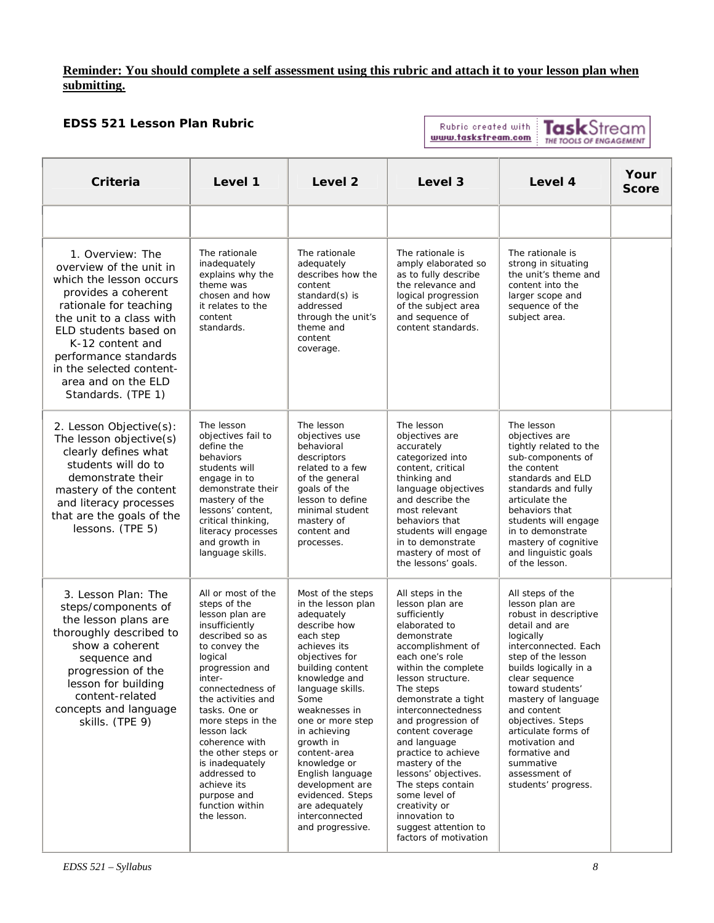## **Reminder: You should complete a self assessment using this rubric and attach it to your lesson plan when submitting.**

## **EDSS 521 Lesson Plan Rubric**

Rubric created with www.taskstream.com

TaskStream

| Criteria                                                                                                                                                                                                                                                                                           | Level 1                                                                                                                                                                                                                                                                                                                                                                                       | Level <sub>2</sub>                                                                                                                                                                                                                                                                                                                                                                                         | Level 3                                                                                                                                                                                                                                                                                                                                                                                                                                                                               | Level 4                                                                                                                                                                                                                                                                                                                                                                            | Your<br><b>Score</b> |
|----------------------------------------------------------------------------------------------------------------------------------------------------------------------------------------------------------------------------------------------------------------------------------------------------|-----------------------------------------------------------------------------------------------------------------------------------------------------------------------------------------------------------------------------------------------------------------------------------------------------------------------------------------------------------------------------------------------|------------------------------------------------------------------------------------------------------------------------------------------------------------------------------------------------------------------------------------------------------------------------------------------------------------------------------------------------------------------------------------------------------------|---------------------------------------------------------------------------------------------------------------------------------------------------------------------------------------------------------------------------------------------------------------------------------------------------------------------------------------------------------------------------------------------------------------------------------------------------------------------------------------|------------------------------------------------------------------------------------------------------------------------------------------------------------------------------------------------------------------------------------------------------------------------------------------------------------------------------------------------------------------------------------|----------------------|
|                                                                                                                                                                                                                                                                                                    |                                                                                                                                                                                                                                                                                                                                                                                               |                                                                                                                                                                                                                                                                                                                                                                                                            |                                                                                                                                                                                                                                                                                                                                                                                                                                                                                       |                                                                                                                                                                                                                                                                                                                                                                                    |                      |
| 1. Overview: The<br>overview of the unit in<br>which the lesson occurs<br>provides a coherent<br>rationale for teaching<br>the unit to a class with<br>ELD students based on<br>K-12 content and<br>performance standards<br>in the selected content-<br>area and on the ELD<br>Standards. (TPE 1) | The rationale<br>inadequately<br>explains why the<br>theme was<br>chosen and how<br>it relates to the<br>content<br>standards.                                                                                                                                                                                                                                                                | The rationale<br>adequately<br>describes how the<br>content<br>standard(s) is<br>addressed<br>through the unit's<br>theme and<br>content<br>coverage.                                                                                                                                                                                                                                                      | The rationale is<br>amply elaborated so<br>as to fully describe<br>the relevance and<br>logical progression<br>of the subject area<br>and sequence of<br>content standards.                                                                                                                                                                                                                                                                                                           | The rationale is<br>strong in situating<br>the unit's theme and<br>content into the<br>larger scope and<br>sequence of the<br>subject area.                                                                                                                                                                                                                                        |                      |
| 2. Lesson Objective(s):<br>The lesson objective(s)<br>clearly defines what<br>students will do to<br>demonstrate their<br>mastery of the content<br>and literacy processes<br>that are the goals of the<br>lessons. (TPE 5)                                                                        | The lesson<br>objectives fail to<br>define the<br>behaviors<br>students will<br>engage in to<br>demonstrate their<br>mastery of the<br>lessons' content,<br>critical thinking,<br>literacy processes<br>and growth in<br>language skills.                                                                                                                                                     | The lesson<br>objectives use<br>behavioral<br>descriptors<br>related to a few<br>of the general<br>goals of the<br>lesson to define<br>minimal student<br>mastery of<br>content and<br>processes.                                                                                                                                                                                                          | The lesson<br>objectives are<br>accurately<br>categorized into<br>content, critical<br>thinking and<br>language objectives<br>and describe the<br>most relevant<br>behaviors that<br>students will engage<br>in to demonstrate<br>mastery of most of<br>the lessons' goals.                                                                                                                                                                                                           | The lesson<br>objectives are<br>tightly related to the<br>sub-components of<br>the content<br>standards and ELD<br>standards and fully<br>articulate the<br>behaviors that<br>students will engage<br>in to demonstrate<br>mastery of cognitive<br>and linguistic goals<br>of the lesson.                                                                                          |                      |
| 3. Lesson Plan: The<br>steps/components of<br>the lesson plans are<br>thoroughly described to<br>show a coherent<br>sequence and<br>progression of the<br>lesson for building<br>content-related<br>concepts and language<br>skills. (TPE 9)                                                       | All or most of the<br>steps of the<br>lesson plan are<br>insufficiently<br>described so as<br>to convey the<br>logical<br>progression and<br>inter-<br>connectedness of<br>the activities and<br>tasks. One or<br>more steps in the<br>lesson lack<br>coherence with<br>the other steps or<br>is inadequately<br>addressed to<br>achieve its<br>purpose and<br>function within<br>the lesson. | Most of the steps<br>in the lesson plan<br>adequately<br>describe how<br>each step<br>achieves its<br>objectives for<br>building content<br>knowledge and<br>language skills.<br>Some<br>weaknesses in<br>one or more step<br>in achieving<br>growth in<br>content-area<br>knowledge or<br>English language<br>development are<br>evidenced. Steps<br>are adequately<br>interconnected<br>and progressive. | All steps in the<br>lesson plan are<br>sufficiently<br>elaborated to<br>demonstrate<br>accomplishment of<br>each one's role<br>within the complete<br>lesson structure.<br>The steps<br>demonstrate a tight<br>interconnectedness<br>and progression of<br>content coverage<br>and language<br>practice to achieve<br>mastery of the<br>lessons' objectives.<br>The steps contain<br>some level of<br>creativity or<br>innovation to<br>suggest attention to<br>factors of motivation | All steps of the<br>lesson plan are<br>robust in descriptive<br>detail and are<br>logically<br>interconnected. Each<br>step of the lesson<br>builds logically in a<br>clear sequence<br>toward students'<br>mastery of language<br>and content<br>objectives. Steps<br>articulate forms of<br>motivation and<br>formative and<br>summative<br>assessment of<br>students' progress. |                      |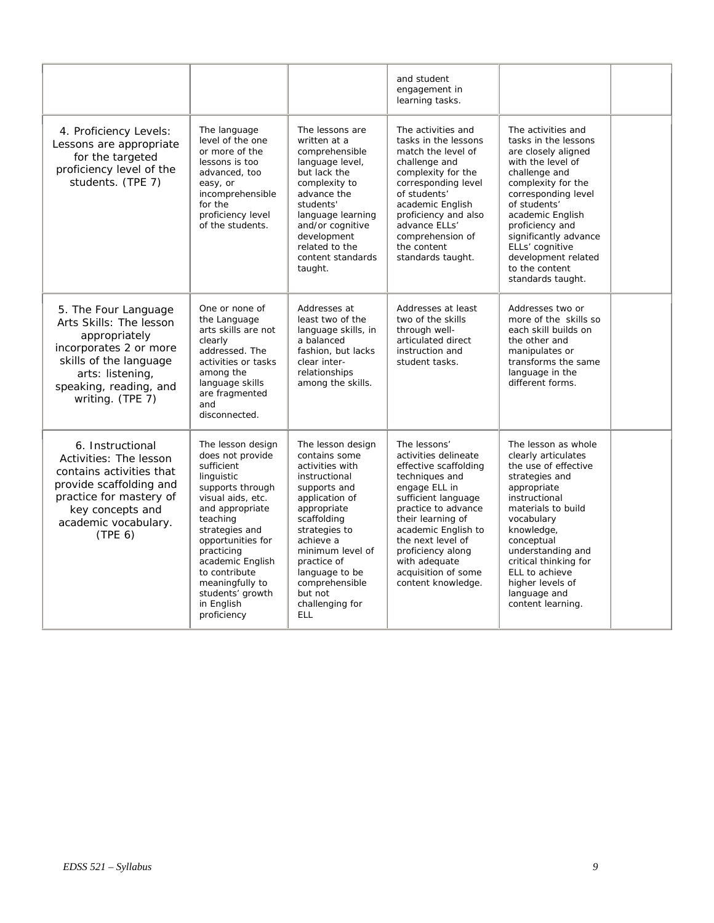|                                                                                                                                                                                        |                                                                                                                                                                                                                                                                                                         |                                                                                                                                                                                                                                                                                         | and student<br>engagement in<br>learning tasks.                                                                                                                                                                                                                                                    |                                                                                                                                                                                                                                                                                                                       |  |
|----------------------------------------------------------------------------------------------------------------------------------------------------------------------------------------|---------------------------------------------------------------------------------------------------------------------------------------------------------------------------------------------------------------------------------------------------------------------------------------------------------|-----------------------------------------------------------------------------------------------------------------------------------------------------------------------------------------------------------------------------------------------------------------------------------------|----------------------------------------------------------------------------------------------------------------------------------------------------------------------------------------------------------------------------------------------------------------------------------------------------|-----------------------------------------------------------------------------------------------------------------------------------------------------------------------------------------------------------------------------------------------------------------------------------------------------------------------|--|
| 4. Proficiency Levels:<br>Lessons are appropriate<br>for the targeted<br>proficiency level of the<br>students. (TPE 7)                                                                 | The language<br>level of the one<br>or more of the<br>lessons is too<br>advanced, too<br>easy, or<br>incomprehensible<br>for the<br>proficiency level<br>of the students.                                                                                                                               | The lessons are<br>written at a<br>comprehensible<br>language level,<br>but lack the<br>complexity to<br>advance the<br>students'<br>language learning<br>and/or cognitive<br>development<br>related to the<br>content standards<br>taught.                                             | The activities and<br>tasks in the lessons<br>match the level of<br>challenge and<br>complexity for the<br>corresponding level<br>of students'<br>academic English<br>proficiency and also<br>advance ELLs'<br>comprehension of<br>the content<br>standards taught.                                | The activities and<br>tasks in the lessons<br>are closely aligned<br>with the level of<br>challenge and<br>complexity for the<br>corresponding level<br>of students'<br>academic English<br>proficiency and<br>significantly advance<br>ELLs' cognitive<br>development related<br>to the content<br>standards taught. |  |
| 5. The Four Language<br>Arts Skills: The lesson<br>appropriately<br>incorporates 2 or more<br>skills of the language<br>arts: listening,<br>speaking, reading, and<br>writing. (TPE 7) | One or none of<br>the Language<br>arts skills are not<br>clearly<br>addressed. The<br>activities or tasks<br>among the<br>language skills<br>are fragmented<br>and<br>disconnected.                                                                                                                     | Addresses at<br>least two of the<br>language skills, in<br>a balanced<br>fashion, but lacks<br>clear inter-<br>relationships<br>among the skills.                                                                                                                                       | Addresses at least<br>two of the skills<br>through well-<br>articulated direct<br>instruction and<br>student tasks.                                                                                                                                                                                | Addresses two or<br>more of the skills so<br>each skill builds on<br>the other and<br>manipulates or<br>transforms the same<br>language in the<br>different forms.                                                                                                                                                    |  |
| 6. Instructional<br>Activities: The lesson<br>contains activities that<br>provide scaffolding and<br>practice for mastery of<br>key concepts and<br>academic vocabulary.<br>(TPE 6)    | The lesson design<br>does not provide<br>sufficient<br>linguistic<br>supports through<br>visual aids, etc.<br>and appropriate<br>teaching<br>strategies and<br>opportunities for<br>practicing<br>academic English<br>to contribute<br>meaningfully to<br>students' growth<br>in English<br>proficiency | The lesson design<br>contains some<br>activities with<br>instructional<br>supports and<br>application of<br>appropriate<br>scaffolding<br>strategies to<br>achieve a<br>minimum level of<br>practice of<br>language to be<br>comprehensible<br>but not<br>challenging for<br><b>ELL</b> | The lessons'<br>activities delineate<br>effective scaffolding<br>techniques and<br>engage ELL in<br>sufficient language<br>practice to advance<br>their learning of<br>academic English to<br>the next level of<br>proficiency along<br>with adequate<br>acquisition of some<br>content knowledge. | The lesson as whole<br>clearly articulates<br>the use of effective<br>strategies and<br>appropriate<br>instructional<br>materials to build<br>vocabulary<br>knowledge,<br>conceptual<br>understanding and<br>critical thinking for<br>ELL to achieve<br>higher levels of<br>language and<br>content learning.         |  |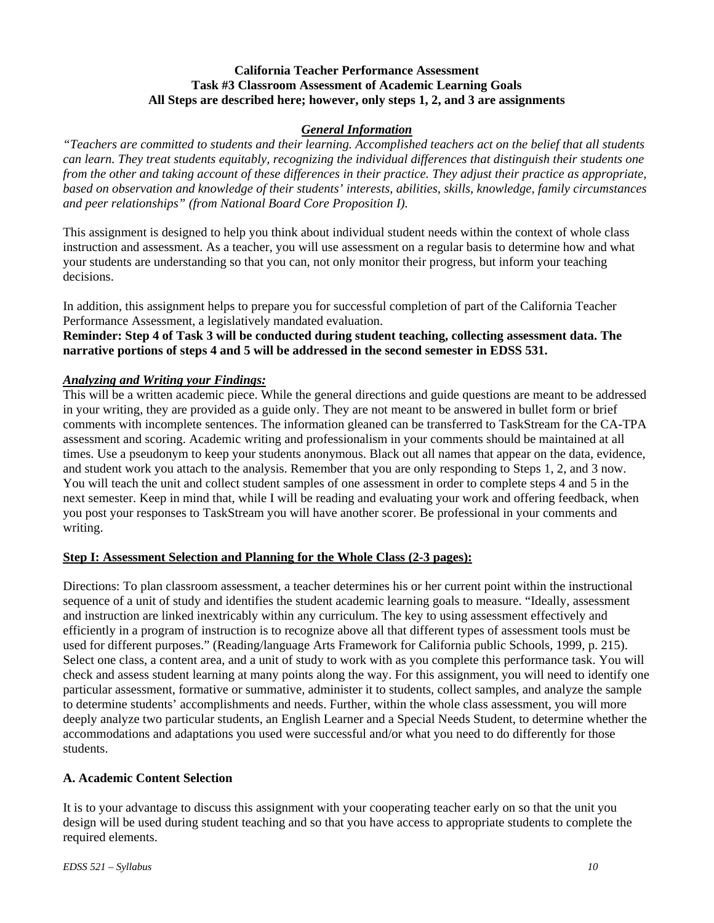## **California Teacher Performance Assessment Task #3 Classroom Assessment of Academic Learning Goals All Steps are described here; however, only steps 1, 2, and 3 are assignments**

### *General Information*

*"Teachers are committed to students and their learning. Accomplished teachers act on the belief that all students can learn. They treat students equitably, recognizing the individual differences that distinguish their students one from the other and taking account of these differences in their practice. They adjust their practice as appropriate, based on observation and knowledge of their students' interests, abilities, skills, knowledge, family circumstances and peer relationships" (from National Board Core Proposition I).* 

This assignment is designed to help you think about individual student needs within the context of whole class instruction and assessment. As a teacher, you will use assessment on a regular basis to determine how and what your students are understanding so that you can, not only monitor their progress, but inform your teaching decisions.

In addition, this assignment helps to prepare you for successful completion of part of the California Teacher Performance Assessment, a legislatively mandated evaluation.

**Reminder: Step 4 of Task 3 will be conducted during student teaching, collecting assessment data. The narrative portions of steps 4 and 5 will be addressed in the second semester in EDSS 531.** 

### *Analyzing and Writing your Findings:*

This will be a written academic piece. While the general directions and guide questions are meant to be addressed in your writing, they are provided as a guide only. They are not meant to be answered in bullet form or brief comments with incomplete sentences. The information gleaned can be transferred to TaskStream for the CA-TPA assessment and scoring. Academic writing and professionalism in your comments should be maintained at all times. Use a pseudonym to keep your students anonymous. Black out all names that appear on the data, evidence, and student work you attach to the analysis. Remember that you are only responding to Steps 1, 2, and 3 now. You will teach the unit and collect student samples of one assessment in order to complete steps 4 and 5 in the next semester. Keep in mind that, while I will be reading and evaluating your work and offering feedback, when you post your responses to TaskStream you will have another scorer. Be professional in your comments and writing.

### **Step I: Assessment Selection and Planning for the Whole Class (2-3 pages):**

Directions: To plan classroom assessment, a teacher determines his or her current point within the instructional sequence of a unit of study and identifies the student academic learning goals to measure. "Ideally, assessment and instruction are linked inextricably within any curriculum. The key to using assessment effectively and efficiently in a program of instruction is to recognize above all that different types of assessment tools must be used for different purposes." (Reading/language Arts Framework for California public Schools, 1999, p. 215). Select one class, a content area, and a unit of study to work with as you complete this performance task. You will check and assess student learning at many points along the way. For this assignment, you will need to identify one particular assessment, formative or summative, administer it to students, collect samples, and analyze the sample to determine students' accomplishments and needs. Further, within the whole class assessment, you will more deeply analyze two particular students, an English Learner and a Special Needs Student, to determine whether the accommodations and adaptations you used were successful and/or what you need to do differently for those students.

### **A. Academic Content Selection**

It is to your advantage to discuss this assignment with your cooperating teacher early on so that the unit you design will be used during student teaching and so that you have access to appropriate students to complete the required elements.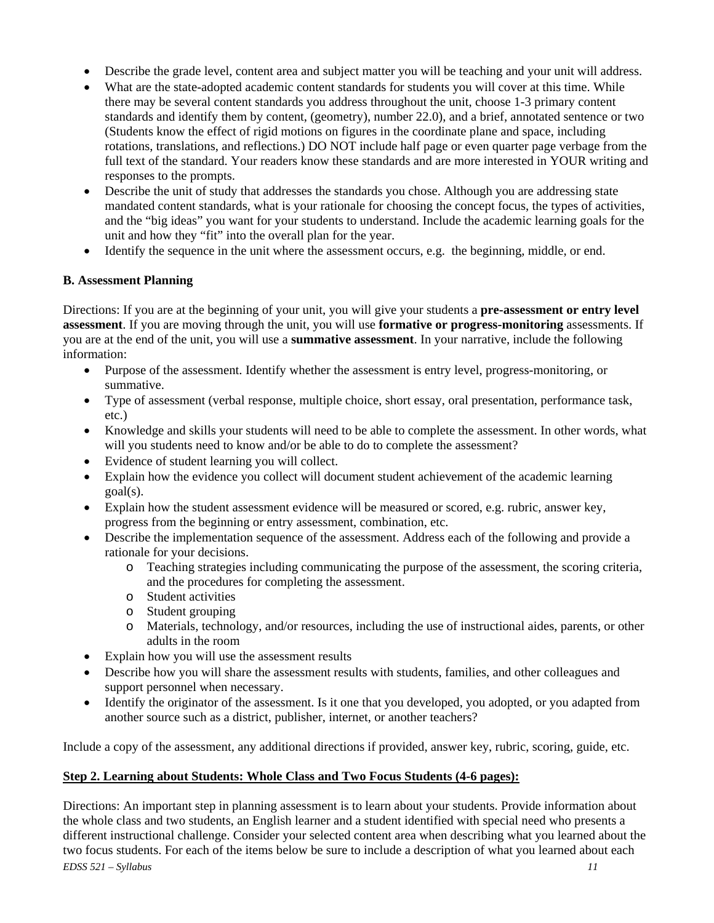- Describe the grade level, content area and subject matter you will be teaching and your unit will address.
- What are the state-adopted academic content standards for students you will cover at this time. While there may be several content standards you address throughout the unit, choose 1-3 primary content standards and identify them by content, (geometry), number 22.0), and a brief, annotated sentence or two (Students know the effect of rigid motions on figures in the coordinate plane and space, including rotations, translations, and reflections.) DO NOT include half page or even quarter page verbage from the full text of the standard. Your readers know these standards and are more interested in YOUR writing and responses to the prompts.
- Describe the unit of study that addresses the standards you chose. Although you are addressing state mandated content standards, what is your rationale for choosing the concept focus, the types of activities, and the "big ideas" you want for your students to understand. Include the academic learning goals for the unit and how they "fit" into the overall plan for the year.
- Identify the sequence in the unit where the assessment occurs, e.g. the beginning, middle, or end.

### **B. Assessment Planning**

Directions: If you are at the beginning of your unit, you will give your students a **pre-assessment or entry level assessment**. If you are moving through the unit, you will use **formative or progress-monitoring** assessments. If you are at the end of the unit, you will use a **summative assessment**. In your narrative, include the following information:

- Purpose of the assessment. Identify whether the assessment is entry level, progress-monitoring, or summative.
- Type of assessment (verbal response, multiple choice, short essay, oral presentation, performance task, etc.)
- Knowledge and skills your students will need to be able to complete the assessment. In other words, what will you students need to know and/or be able to do to complete the assessment?
- Evidence of student learning you will collect.
- Explain how the evidence you collect will document student achievement of the academic learning goal(s).
- Explain how the student assessment evidence will be measured or scored, e.g. rubric, answer key, progress from the beginning or entry assessment, combination, etc.
- Describe the implementation sequence of the assessment. Address each of the following and provide a rationale for your decisions.
	- o Teaching strategies including communicating the purpose of the assessment, the scoring criteria, and the procedures for completing the assessment.
	- o Student activities
	- o Student grouping
	- o Materials, technology, and/or resources, including the use of instructional aides, parents, or other adults in the room
- Explain how you will use the assessment results
- Describe how you will share the assessment results with students, families, and other colleagues and support personnel when necessary.
- Identify the originator of the assessment. Is it one that you developed, you adopted, or you adapted from another source such as a district, publisher, internet, or another teachers?

Include a copy of the assessment, any additional directions if provided, answer key, rubric, scoring, guide, etc.

### **Step 2. Learning about Students: Whole Class and Two Focus Students (4-6 pages):**

*EDSS 521 – Syllabus 11*  Directions: An important step in planning assessment is to learn about your students. Provide information about the whole class and two students, an English learner and a student identified with special need who presents a different instructional challenge. Consider your selected content area when describing what you learned about the two focus students. For each of the items below be sure to include a description of what you learned about each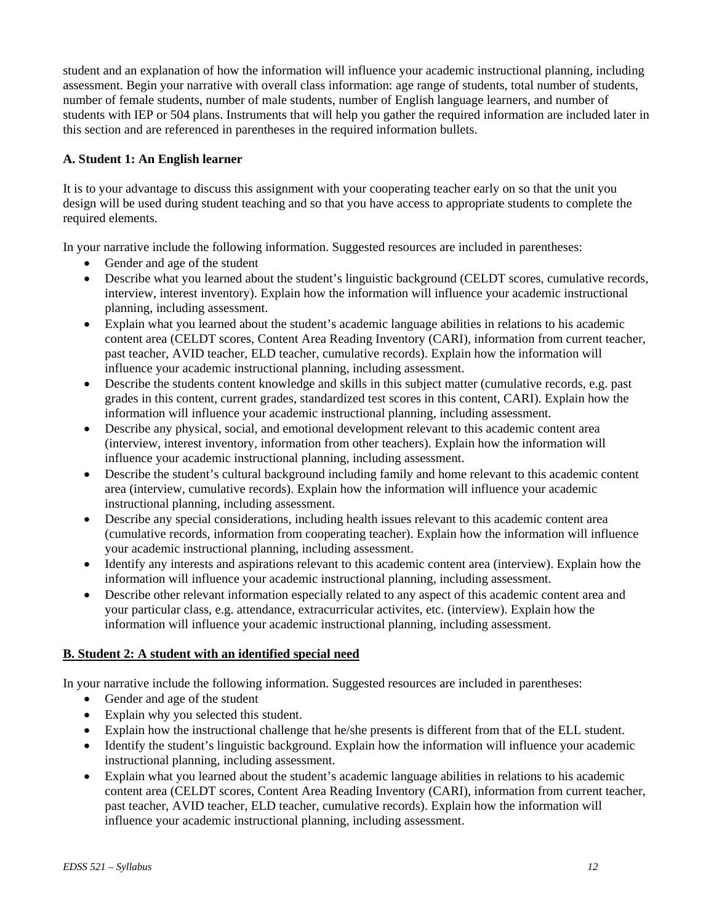student and an explanation of how the information will influence your academic instructional planning, including assessment. Begin your narrative with overall class information: age range of students, total number of students, number of female students, number of male students, number of English language learners, and number of students with IEP or 504 plans. Instruments that will help you gather the required information are included later in this section and are referenced in parentheses in the required information bullets.

## **A. Student 1: An English learner**

It is to your advantage to discuss this assignment with your cooperating teacher early on so that the unit you design will be used during student teaching and so that you have access to appropriate students to complete the required elements.

In your narrative include the following information. Suggested resources are included in parentheses:

- Gender and age of the student
- Describe what you learned about the student's linguistic background (CELDT scores, cumulative records, interview, interest inventory). Explain how the information will influence your academic instructional planning, including assessment.
- Explain what you learned about the student's academic language abilities in relations to his academic content area (CELDT scores, Content Area Reading Inventory (CARI), information from current teacher, past teacher, AVID teacher, ELD teacher, cumulative records). Explain how the information will influence your academic instructional planning, including assessment.
- Describe the students content knowledge and skills in this subject matter (cumulative records, e.g. past grades in this content, current grades, standardized test scores in this content, CARI). Explain how the information will influence your academic instructional planning, including assessment.
- Describe any physical, social, and emotional development relevant to this academic content area (interview, interest inventory, information from other teachers). Explain how the information will influence your academic instructional planning, including assessment.
- Describe the student's cultural background including family and home relevant to this academic content area (interview, cumulative records). Explain how the information will influence your academic instructional planning, including assessment.
- Describe any special considerations, including health issues relevant to this academic content area (cumulative records, information from cooperating teacher). Explain how the information will influence your academic instructional planning, including assessment.
- Identify any interests and aspirations relevant to this academic content area (interview). Explain how the information will influence your academic instructional planning, including assessment.
- Describe other relevant information especially related to any aspect of this academic content area and your particular class, e.g. attendance, extracurricular activites, etc. (interview). Explain how the information will influence your academic instructional planning, including assessment.

## **B. Student 2: A student with an identified special need**

In your narrative include the following information. Suggested resources are included in parentheses:

- Gender and age of the student
- Explain why you selected this student.
- Explain how the instructional challenge that he/she presents is different from that of the ELL student.
- Identify the student's linguistic background. Explain how the information will influence your academic instructional planning, including assessment.
- Explain what you learned about the student's academic language abilities in relations to his academic content area (CELDT scores, Content Area Reading Inventory (CARI), information from current teacher, past teacher, AVID teacher, ELD teacher, cumulative records). Explain how the information will influence your academic instructional planning, including assessment.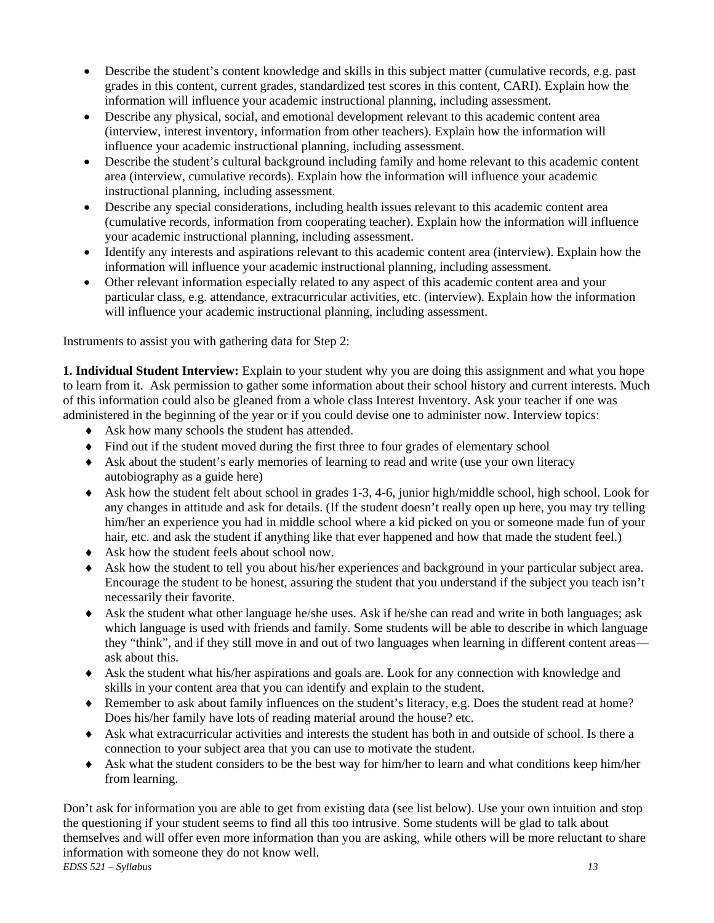- Describe the student's content knowledge and skills in this subject matter (cumulative records, e.g. past grades in this content, current grades, standardized test scores in this content, CARI). Explain how the information will influence your academic instructional planning, including assessment.
- Describe any physical, social, and emotional development relevant to this academic content area (interview, interest inventory, information from other teachers). Explain how the information will influence your academic instructional planning, including assessment.
- Describe the student's cultural background including family and home relevant to this academic content area (interview, cumulative records). Explain how the information will influence your academic instructional planning, including assessment.
- Describe any special considerations, including health issues relevant to this academic content area (cumulative records, information from cooperating teacher). Explain how the information will influence your academic instructional planning, including assessment.
- Identify any interests and aspirations relevant to this academic content area (interview). Explain how the information will influence your academic instructional planning, including assessment.
- Other relevant information especially related to any aspect of this academic content area and your particular class, e.g. attendance, extracurricular activities, etc. (interview). Explain how the information will influence your academic instructional planning, including assessment.

Instruments to assist you with gathering data for Step 2:

**1. Individual Student Interview:** Explain to your student why you are doing this assignment and what you hope to learn from it. Ask permission to gather some information about their school history and current interests. Much of this information could also be gleaned from a whole class Interest Inventory. Ask your teacher if one was administered in the beginning of the year or if you could devise one to administer now. Interview topics:

- ♦ Ask how many schools the student has attended.
- ♦ Find out if the student moved during the first three to four grades of elementary school
- ♦ Ask about the student's early memories of learning to read and write (use your own literacy autobiography as a guide here)
- ♦ Ask how the student felt about school in grades 1-3, 4-6, junior high/middle school, high school. Look for any changes in attitude and ask for details. (If the student doesn't really open up here, you may try telling him/her an experience you had in middle school where a kid picked on you or someone made fun of your hair, etc. and ask the student if anything like that ever happened and how that made the student feel.)
- ♦ Ask how the student feels about school now.
- ♦ Ask how the student to tell you about his/her experiences and background in your particular subject area. Encourage the student to be honest, assuring the student that you understand if the subject you teach isn't necessarily their favorite.
- ♦ Ask the student what other language he/she uses. Ask if he/she can read and write in both languages; ask which language is used with friends and family. Some students will be able to describe in which language they "think", and if they still move in and out of two languages when learning in different content areas ask about this.
- ♦ Ask the student what his/her aspirations and goals are. Look for any connection with knowledge and skills in your content area that you can identify and explain to the student.
- ♦ Remember to ask about family influences on the student's literacy, e.g. Does the student read at home? Does his/her family have lots of reading material around the house? etc.
- ♦ Ask what extracurricular activities and interests the student has both in and outside of school. Is there a connection to your subject area that you can use to motivate the student.
- ♦ Ask what the student considers to be the best way for him/her to learn and what conditions keep him/her from learning.

*EDSS 521 – Syllabus 13*  Don't ask for information you are able to get from existing data (see list below). Use your own intuition and stop the questioning if your student seems to find all this too intrusive. Some students will be glad to talk about themselves and will offer even more information than you are asking, while others will be more reluctant to share information with someone they do not know well.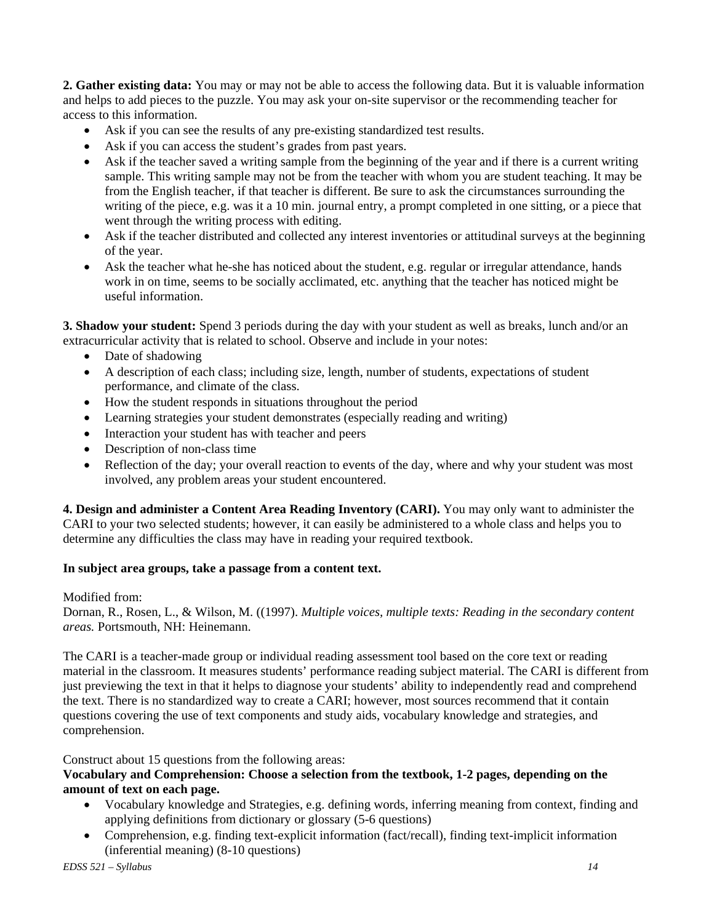**2. Gather existing data:** You may or may not be able to access the following data. But it is valuable information and helps to add pieces to the puzzle. You may ask your on-site supervisor or the recommending teacher for access to this information.

- Ask if you can see the results of any pre-existing standardized test results.
- Ask if you can access the student's grades from past years.
- Ask if the teacher saved a writing sample from the beginning of the year and if there is a current writing sample. This writing sample may not be from the teacher with whom you are student teaching. It may be from the English teacher, if that teacher is different. Be sure to ask the circumstances surrounding the writing of the piece, e.g. was it a 10 min. journal entry, a prompt completed in one sitting, or a piece that went through the writing process with editing.
- Ask if the teacher distributed and collected any interest inventories or attitudinal surveys at the beginning of the year.
- Ask the teacher what he-she has noticed about the student, e.g. regular or irregular attendance, hands work in on time, seems to be socially acclimated, etc. anything that the teacher has noticed might be useful information.

**3. Shadow your student:** Spend 3 periods during the day with your student as well as breaks, lunch and/or an extracurricular activity that is related to school. Observe and include in your notes:

- Date of shadowing
- A description of each class; including size, length, number of students, expectations of student performance, and climate of the class.
- How the student responds in situations throughout the period
- Learning strategies your student demonstrates (especially reading and writing)
- Interaction your student has with teacher and peers
- Description of non-class time
- Reflection of the day; your overall reaction to events of the day, where and why your student was most involved, any problem areas your student encountered.

**4. Design and administer a Content Area Reading Inventory (CARI).** You may only want to administer the CARI to your two selected students; however, it can easily be administered to a whole class and helps you to determine any difficulties the class may have in reading your required textbook.

### **In subject area groups, take a passage from a content text.**

### Modified from:

Dornan, R., Rosen, L., & Wilson, M. ((1997). *Multiple voices, multiple texts: Reading in the secondary content areas.* Portsmouth, NH: Heinemann.

The CARI is a teacher-made group or individual reading assessment tool based on the core text or reading material in the classroom. It measures students' performance reading subject material. The CARI is different from just previewing the text in that it helps to diagnose your students' ability to independently read and comprehend the text. There is no standardized way to create a CARI; however, most sources recommend that it contain questions covering the use of text components and study aids, vocabulary knowledge and strategies, and comprehension.

Construct about 15 questions from the following areas:

## **Vocabulary and Comprehension: Choose a selection from the textbook, 1-2 pages, depending on the amount of text on each page.**

- Vocabulary knowledge and Strategies, e.g. defining words, inferring meaning from context, finding and applying definitions from dictionary or glossary (5-6 questions)
- Comprehension, e.g. finding text-explicit information (fact/recall), finding text-implicit information (inferential meaning) (8-10 questions)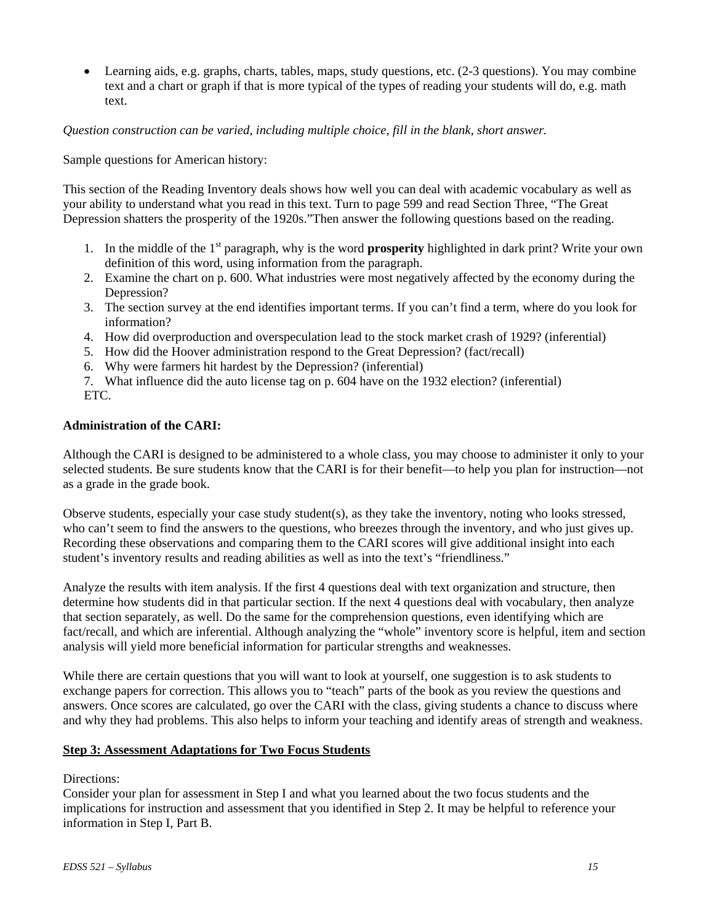• Learning aids, e.g. graphs, charts, tables, maps, study questions, etc. (2-3 questions). You may combine text and a chart or graph if that is more typical of the types of reading your students will do, e.g. math text.

*Question construction can be varied, including multiple choice, fill in the blank, short answer.* 

Sample questions for American history:

This section of the Reading Inventory deals shows how well you can deal with academic vocabulary as well as your ability to understand what you read in this text. Turn to page 599 and read Section Three, "The Great Depression shatters the prosperity of the 1920s."Then answer the following questions based on the reading.

- 1. In the middle of the 1st paragraph, why is the word **prosperity** highlighted in dark print? Write your own definition of this word, using information from the paragraph.
- 2. Examine the chart on p. 600. What industries were most negatively affected by the economy during the Depression?
- 3. The section survey at the end identifies important terms. If you can't find a term, where do you look for information?
- 4. How did overproduction and overspeculation lead to the stock market crash of 1929? (inferential)
- 5. How did the Hoover administration respond to the Great Depression? (fact/recall)
- 6. Why were farmers hit hardest by the Depression? (inferential)
- 7. What influence did the auto license tag on p. 604 have on the 1932 election? (inferential)
- ETC.

#### **Administration of the CARI:**

Although the CARI is designed to be administered to a whole class, you may choose to administer it only to your selected students. Be sure students know that the CARI is for their benefit—to help you plan for instruction—not as a grade in the grade book.

Observe students, especially your case study student(s), as they take the inventory, noting who looks stressed, who can't seem to find the answers to the questions, who breezes through the inventory, and who just gives up. Recording these observations and comparing them to the CARI scores will give additional insight into each student's inventory results and reading abilities as well as into the text's "friendliness."

Analyze the results with item analysis. If the first 4 questions deal with text organization and structure, then determine how students did in that particular section. If the next 4 questions deal with vocabulary, then analyze that section separately, as well. Do the same for the comprehension questions, even identifying which are fact/recall, and which are inferential. Although analyzing the "whole" inventory score is helpful, item and section analysis will yield more beneficial information for particular strengths and weaknesses.

While there are certain questions that you will want to look at yourself, one suggestion is to ask students to exchange papers for correction. This allows you to "teach" parts of the book as you review the questions and answers. Once scores are calculated, go over the CARI with the class, giving students a chance to discuss where and why they had problems. This also helps to inform your teaching and identify areas of strength and weakness.

### **Step 3: Assessment Adaptations for Two Focus Students**

### Directions:

Consider your plan for assessment in Step I and what you learned about the two focus students and the implications for instruction and assessment that you identified in Step 2. It may be helpful to reference your information in Step I, Part B.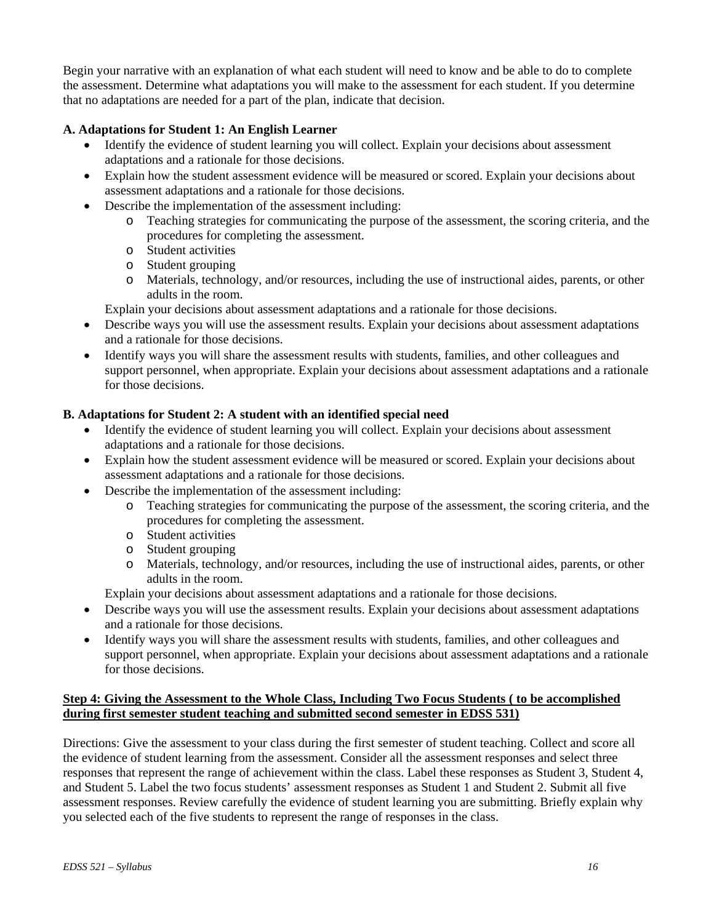Begin your narrative with an explanation of what each student will need to know and be able to do to complete the assessment. Determine what adaptations you will make to the assessment for each student. If you determine that no adaptations are needed for a part of the plan, indicate that decision.

### **A. Adaptations for Student 1: An English Learner**

- Identify the evidence of student learning you will collect. Explain your decisions about assessment adaptations and a rationale for those decisions.
- Explain how the student assessment evidence will be measured or scored. Explain your decisions about assessment adaptations and a rationale for those decisions.
- Describe the implementation of the assessment including:
	- o Teaching strategies for communicating the purpose of the assessment, the scoring criteria, and the procedures for completing the assessment.
	- o Student activities
	- o Student grouping
	- o Materials, technology, and/or resources, including the use of instructional aides, parents, or other adults in the room.

Explain your decisions about assessment adaptations and a rationale for those decisions.

- Describe ways you will use the assessment results. Explain your decisions about assessment adaptations and a rationale for those decisions.
- Identify ways you will share the assessment results with students, families, and other colleagues and support personnel, when appropriate. Explain your decisions about assessment adaptations and a rationale for those decisions.

### **B. Adaptations for Student 2: A student with an identified special need**

- Identify the evidence of student learning you will collect. Explain your decisions about assessment adaptations and a rationale for those decisions.
- Explain how the student assessment evidence will be measured or scored. Explain your decisions about assessment adaptations and a rationale for those decisions.
- Describe the implementation of the assessment including:
	- o Teaching strategies for communicating the purpose of the assessment, the scoring criteria, and the procedures for completing the assessment.
	- o Student activities
	- o Student grouping
	- o Materials, technology, and/or resources, including the use of instructional aides, parents, or other adults in the room.

Explain your decisions about assessment adaptations and a rationale for those decisions.

- Describe ways you will use the assessment results. Explain your decisions about assessment adaptations and a rationale for those decisions.
- Identify ways you will share the assessment results with students, families, and other colleagues and support personnel, when appropriate. Explain your decisions about assessment adaptations and a rationale for those decisions.

### **Step 4: Giving the Assessment to the Whole Class, Including Two Focus Students ( to be accomplished during first semester student teaching and submitted second semester in EDSS 531)**

Directions: Give the assessment to your class during the first semester of student teaching. Collect and score all the evidence of student learning from the assessment. Consider all the assessment responses and select three responses that represent the range of achievement within the class. Label these responses as Student 3, Student 4, and Student 5. Label the two focus students' assessment responses as Student 1 and Student 2. Submit all five assessment responses. Review carefully the evidence of student learning you are submitting. Briefly explain why you selected each of the five students to represent the range of responses in the class.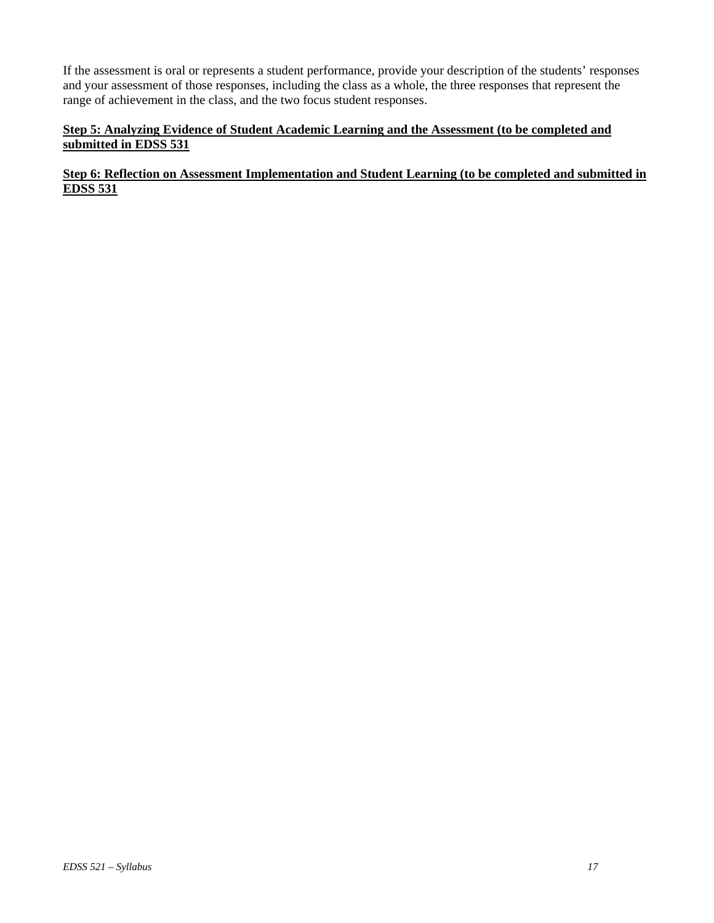If the assessment is oral or represents a student performance, provide your description of the students' responses and your assessment of those responses, including the class as a whole, the three responses that represent the range of achievement in the class, and the two focus student responses.

## **Step 5: Analyzing Evidence of Student Academic Learning and the Assessment (to be completed and submitted in EDSS 531**

## **Step 6: Reflection on Assessment Implementation and Student Learning (to be completed and submitted in EDSS 531**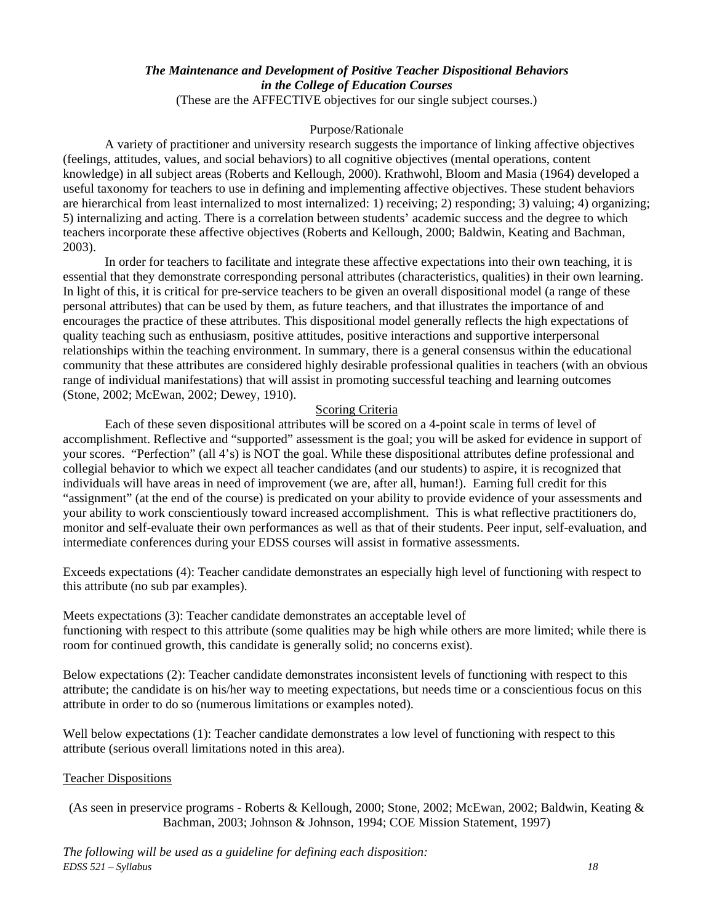## *The Maintenance and Development of Positive Teacher Dispositional Behaviors in the College of Education Courses*

(These are the AFFECTIVE objectives for our single subject courses.)

#### Purpose/Rationale

A variety of practitioner and university research suggests the importance of linking affective objectives (feelings, attitudes, values, and social behaviors) to all cognitive objectives (mental operations, content knowledge) in all subject areas (Roberts and Kellough, 2000). Krathwohl, Bloom and Masia (1964) developed a useful taxonomy for teachers to use in defining and implementing affective objectives. These student behaviors are hierarchical from least internalized to most internalized: 1) receiving; 2) responding; 3) valuing; 4) organizing; 5) internalizing and acting. There is a correlation between students' academic success and the degree to which teachers incorporate these affective objectives (Roberts and Kellough, 2000; Baldwin, Keating and Bachman, 2003).

In order for teachers to facilitate and integrate these affective expectations into their own teaching, it is essential that they demonstrate corresponding personal attributes (characteristics, qualities) in their own learning. In light of this, it is critical for pre-service teachers to be given an overall dispositional model (a range of these personal attributes) that can be used by them, as future teachers, and that illustrates the importance of and encourages the practice of these attributes. This dispositional model generally reflects the high expectations of quality teaching such as enthusiasm, positive attitudes, positive interactions and supportive interpersonal relationships within the teaching environment. In summary, there is a general consensus within the educational community that these attributes are considered highly desirable professional qualities in teachers (with an obvious range of individual manifestations) that will assist in promoting successful teaching and learning outcomes (Stone, 2002; McEwan, 2002; Dewey, 1910).

### Scoring Criteria

Each of these seven dispositional attributes will be scored on a 4-point scale in terms of level of accomplishment. Reflective and "supported" assessment is the goal; you will be asked for evidence in support of your scores. "Perfection" (all 4's) is NOT the goal. While these dispositional attributes define professional and collegial behavior to which we expect all teacher candidates (and our students) to aspire, it is recognized that individuals will have areas in need of improvement (we are, after all, human!). Earning full credit for this "assignment" (at the end of the course) is predicated on your ability to provide evidence of your assessments and your ability to work conscientiously toward increased accomplishment. This is what reflective practitioners do, monitor and self-evaluate their own performances as well as that of their students. Peer input, self-evaluation, and intermediate conferences during your EDSS courses will assist in formative assessments.

Exceeds expectations (4): Teacher candidate demonstrates an especially high level of functioning with respect to this attribute (no sub par examples).

Meets expectations (3): Teacher candidate demonstrates an acceptable level of functioning with respect to this attribute (some qualities may be high while others are more limited; while there is room for continued growth, this candidate is generally solid; no concerns exist).

Below expectations (2): Teacher candidate demonstrates inconsistent levels of functioning with respect to this attribute; the candidate is on his/her way to meeting expectations, but needs time or a conscientious focus on this attribute in order to do so (numerous limitations or examples noted).

Well below expectations (1): Teacher candidate demonstrates a low level of functioning with respect to this attribute (serious overall limitations noted in this area).

#### Teacher Dispositions

(As seen in preservice programs - Roberts & Kellough, 2000; Stone, 2002; McEwan, 2002; Baldwin, Keating & Bachman, 2003; Johnson & Johnson, 1994; COE Mission Statement, 1997)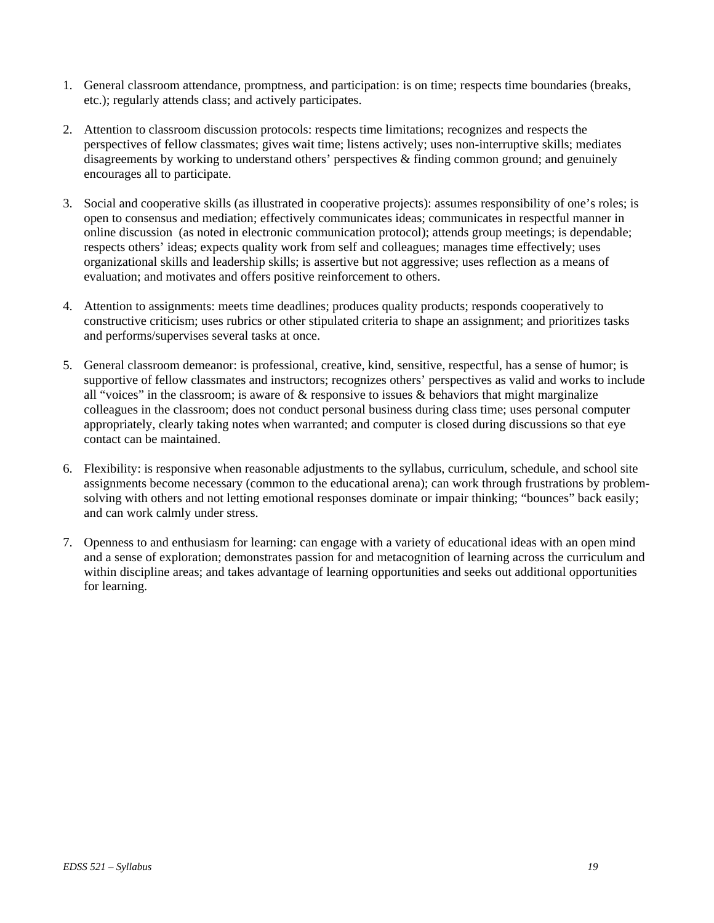- 1. General classroom attendance, promptness, and participation: is on time; respects time boundaries (breaks, etc.); regularly attends class; and actively participates.
- 2. Attention to classroom discussion protocols: respects time limitations; recognizes and respects the perspectives of fellow classmates; gives wait time; listens actively; uses non-interruptive skills; mediates disagreements by working to understand others' perspectives & finding common ground; and genuinely encourages all to participate.
- 3. Social and cooperative skills (as illustrated in cooperative projects): assumes responsibility of one's roles; is open to consensus and mediation; effectively communicates ideas; communicates in respectful manner in online discussion (as noted in electronic communication protocol); attends group meetings; is dependable; respects others' ideas; expects quality work from self and colleagues; manages time effectively; uses organizational skills and leadership skills; is assertive but not aggressive; uses reflection as a means of evaluation; and motivates and offers positive reinforcement to others.
- 4. Attention to assignments: meets time deadlines; produces quality products; responds cooperatively to constructive criticism; uses rubrics or other stipulated criteria to shape an assignment; and prioritizes tasks and performs/supervises several tasks at once.
- 5. General classroom demeanor: is professional, creative, kind, sensitive, respectful, has a sense of humor; is supportive of fellow classmates and instructors; recognizes others' perspectives as valid and works to include all "voices" in the classroom; is aware of  $\&$  responsive to issues  $\&$  behaviors that might marginalize colleagues in the classroom; does not conduct personal business during class time; uses personal computer appropriately, clearly taking notes when warranted; and computer is closed during discussions so that eye contact can be maintained.
- 6. Flexibility: is responsive when reasonable adjustments to the syllabus, curriculum, schedule, and school site assignments become necessary (common to the educational arena); can work through frustrations by problemsolving with others and not letting emotional responses dominate or impair thinking; "bounces" back easily; and can work calmly under stress.
- 7. Openness to and enthusiasm for learning: can engage with a variety of educational ideas with an open mind and a sense of exploration; demonstrates passion for and metacognition of learning across the curriculum and within discipline areas; and takes advantage of learning opportunities and seeks out additional opportunities for learning.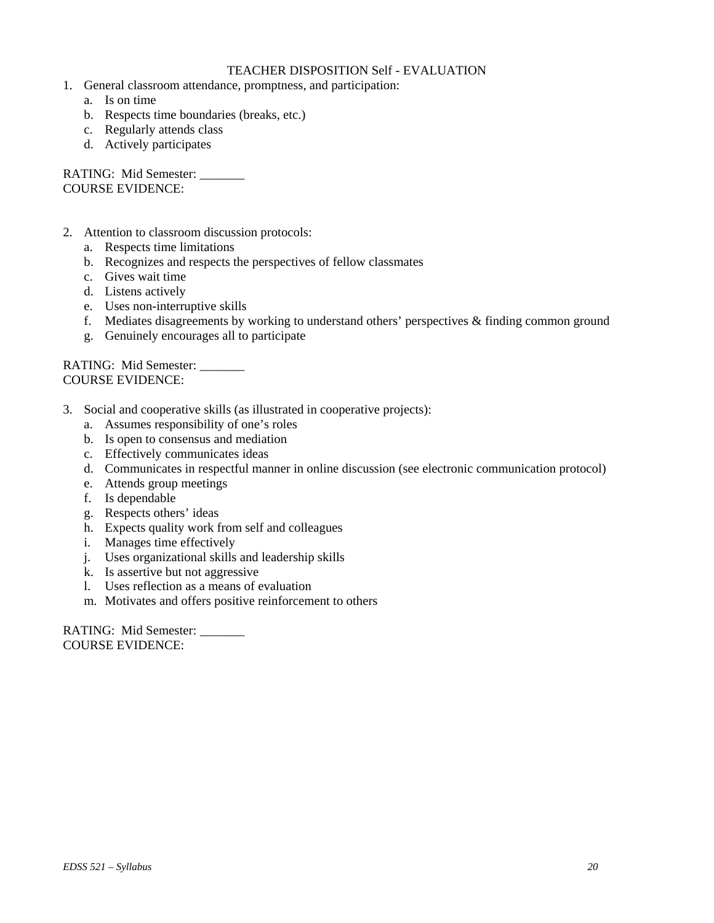### TEACHER DISPOSITION Self - EVALUATION

- 1. General classroom attendance, promptness, and participation:
	- a. Is on time
	- b. Respects time boundaries (breaks, etc.)
	- c. Regularly attends class
	- d. Actively participates

RATING: Mid Semester: \_\_\_\_\_\_\_ COURSE EVIDENCE:

- 2. Attention to classroom discussion protocols:
	- a. Respects time limitations
	- b. Recognizes and respects the perspectives of fellow classmates
	- c. Gives wait time
	- d. Listens actively
	- e. Uses non-interruptive skills
	- f. Mediates disagreements by working to understand others' perspectives & finding common ground
	- g. Genuinely encourages all to participate

RATING: Mid Semester: COURSE EVIDENCE:

- 3. Social and cooperative skills (as illustrated in cooperative projects):
	- a. Assumes responsibility of one's roles
	- b. Is open to consensus and mediation
	- c. Effectively communicates ideas
	- d. Communicates in respectful manner in online discussion (see electronic communication protocol)
	- e. Attends group meetings
	- f. Is dependable
	- g. Respects others' ideas
	- h. Expects quality work from self and colleagues
	- i. Manages time effectively
	- j. Uses organizational skills and leadership skills
	- k. Is assertive but not aggressive
	- l. Uses reflection as a means of evaluation
	- m. Motivates and offers positive reinforcement to others

RATING: Mid Semester: COURSE EVIDENCE: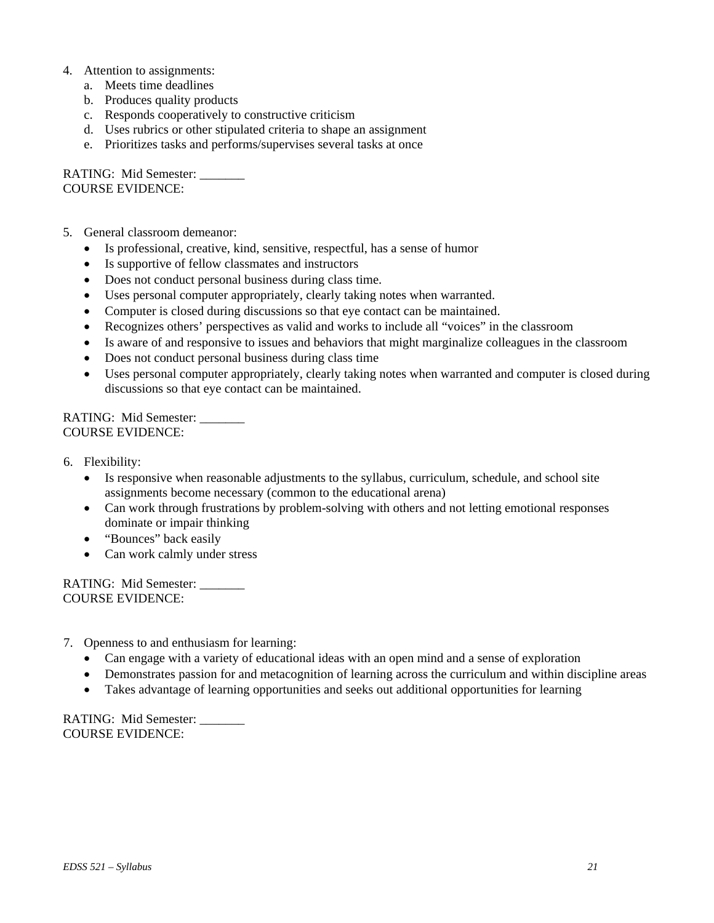- 4. Attention to assignments:
	- a. Meets time deadlines
	- b. Produces quality products
	- c. Responds cooperatively to constructive criticism
	- d. Uses rubrics or other stipulated criteria to shape an assignment
	- e. Prioritizes tasks and performs/supervises several tasks at once

RATING: Mid Semester: \_\_\_\_\_\_\_ COURSE EVIDENCE:

- 5. General classroom demeanor:
	- Is professional, creative, kind, sensitive, respectful, has a sense of humor
	- Is supportive of fellow classmates and instructors
	- Does not conduct personal business during class time.
	- Uses personal computer appropriately, clearly taking notes when warranted.
	- Computer is closed during discussions so that eye contact can be maintained.
	- Recognizes others' perspectives as valid and works to include all "voices" in the classroom
	- Is aware of and responsive to issues and behaviors that might marginalize colleagues in the classroom
	- Does not conduct personal business during class time
	- Uses personal computer appropriately, clearly taking notes when warranted and computer is closed during discussions so that eye contact can be maintained.

RATING: Mid Semester: COURSE EVIDENCE:

- 6. Flexibility:
	- Is responsive when reasonable adjustments to the syllabus, curriculum, schedule, and school site assignments become necessary (common to the educational arena)
	- Can work through frustrations by problem-solving with others and not letting emotional responses dominate or impair thinking
	- "Bounces" back easily
	- Can work calmly under stress

RATING: Mid Semester: \_\_\_\_\_\_\_ COURSE EVIDENCE:

- 7. Openness to and enthusiasm for learning:
	- Can engage with a variety of educational ideas with an open mind and a sense of exploration
	- Demonstrates passion for and metacognition of learning across the curriculum and within discipline areas
	- Takes advantage of learning opportunities and seeks out additional opportunities for learning

RATING: Mid Semester: COURSE EVIDENCE: